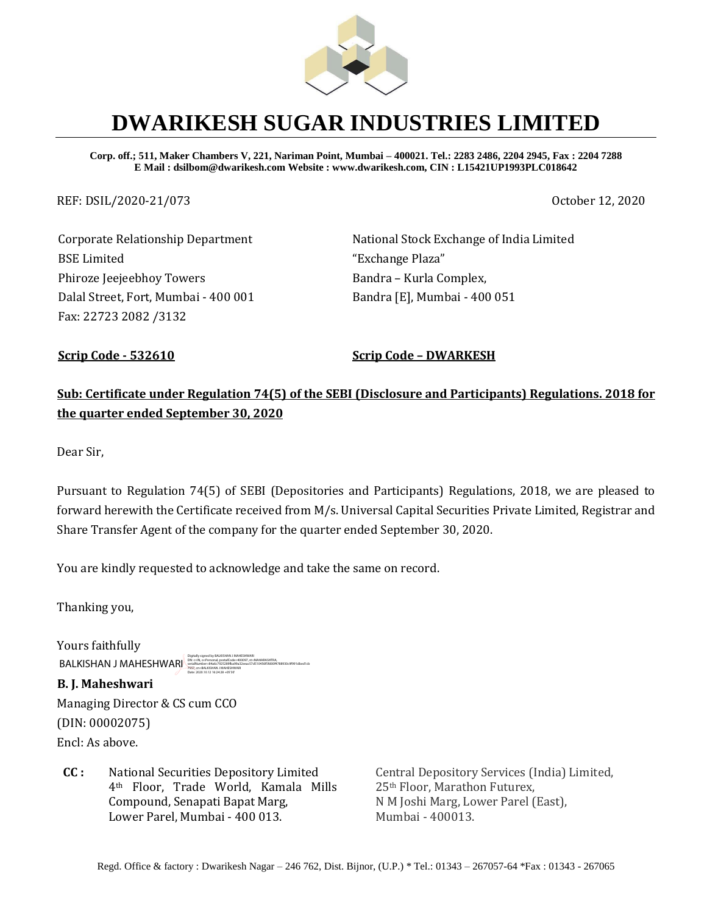

# **DWARIKESH SUGAR INDUSTRIES LIMITED**

**Corp. off.; 511, Maker Chambers V, 221, Nariman Point, Mumbai – 400021. Tel.: 2283 2486, 2204 2945, Fax : 2204 7288 E Mail : dsilbom@dwarikesh.com Website : www.dwarikesh.com, CIN : L15421UP1993PLC018642**

REF: DSIL/2020-21/073 October 12, 2020

Corporate Relationship Department BSE Limited Phiroze Jeejeebhoy Towers Dalal Street, Fort, Mumbai - 400 001 Fax: 22723 2082 /3132

National Stock Exchange of India Limited "Exchange Plaza" Bandra – Kurla Complex, Bandra [E], Mumbai - 400 051

**Scrip Code - 532610 Scrip Code – DWARKESH**

# **Sub: Certificate under Regulation 74(5) of the SEBI (Disclosure and Participants) Regulations. 2018 for the quarter ended September 30, 2020**

Dear Sir,

Pursuant to Regulation 74(5) of SEBI (Depositories and Participants) Regulations, 2018, we are pleased to forward herewith the Certificate received from M/s. Universal Capital Securities Private Limited, Registrar and Share Transfer Agent of the company for the quarter ended September 30, 2020.

You are kindly requested to acknowledge and take the same on record.

Thanking you,

Yours faithfully BALKISHAN J MAHESHWARI DN: c=IN, o=Personal, postalCode=400097, st=MAHARASHTRA, serialNumber=84a6c7925289fba99a32eeac57d510456f5fd00f4788930c9f991dbed1cb 7557, cn=BALKISHAN J MAHESHWARI Date: 2020.10.12 16:24:28 +05'30'

**B. J. Maheshwari**  Managing Director & CS cum CCO (DIN: 00002075) Encl: As above.

**CC :** National Securities Depository Limited 4th Floor, Trade World, Kamala Mills Compound, Senapati Bapat Marg, Lower Parel, Mumbai - 400 013.

Central Depository Services (India) Limited, 25th Floor, Marathon Futurex, N M Joshi Marg, Lower Parel (East), Mumbai - 400013.